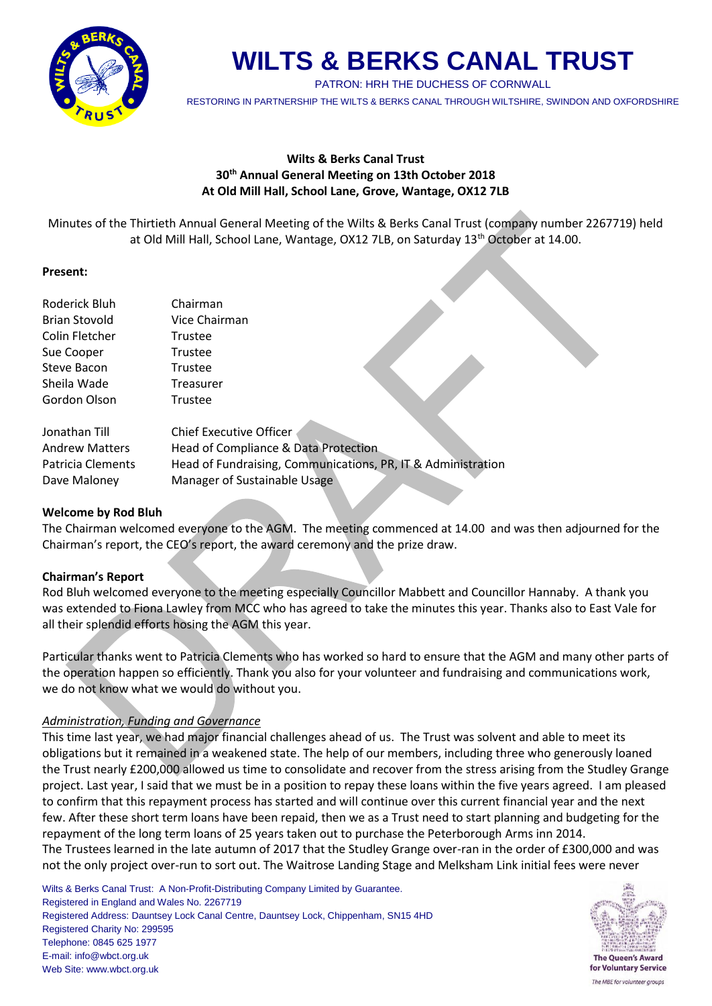

PATRON: HRH THE DUCHESS OF CORNWALL

RESTORING IN PARTNERSHIP THE WILTS & BERKS CANAL THROUGH WILTSHIRE, SWINDON AND OXFORDSHIRE

# **Wilts & Berks Canal Trust 30th Annual General Meeting on 13th October 2018 At Old Mill Hall, School Lane, Grove, Wantage, OX12 7LB**

Minutes of the Thirtieth Annual General Meeting of the Wilts & Berks Canal Trust (company number 2267719) held at Old Mill Hall, School Lane, Wantage, OX12 7LB, on Saturday 13<sup>th</sup> October at 14.00.

# **Present:**

| Roderick Bluh         | Chairman                                                     |  |
|-----------------------|--------------------------------------------------------------|--|
| <b>Brian Stovold</b>  | Vice Chairman                                                |  |
| Colin Fletcher        | Trustee                                                      |  |
| Sue Cooper            | Trustee                                                      |  |
| Steve Bacon           | Trustee                                                      |  |
| Sheila Wade           | Treasurer                                                    |  |
| Gordon Olson          | Trustee                                                      |  |
|                       |                                                              |  |
| Jonathan Till         | <b>Chief Executive Officer</b>                               |  |
| <b>Andrew Matters</b> | Head of Compliance & Data Protection                         |  |
| Patricia Clements     | Head of Fundraising, Communications, PR, IT & Administration |  |
| Dave Maloney          | Manager of Sustainable Usage                                 |  |

# **Welcome by Rod Bluh**

The Chairman welcomed everyone to the AGM. The meeting commenced at 14.00 and was then adjourned for the Chairman's report, the CEO's report, the award ceremony and the prize draw.

# **Chairman's Report**

Rod Bluh welcomed everyone to the meeting especially Councillor Mabbett and Councillor Hannaby. A thank you was extended to Fiona Lawley from MCC who has agreed to take the minutes this year. Thanks also to East Vale for all their splendid efforts hosing the AGM this year.

Particular thanks went to Patricia Clements who has worked so hard to ensure that the AGM and many other parts of the operation happen so efficiently. Thank you also for your volunteer and fundraising and communications work, we do not know what we would do without you.

# *Administration, Funding and Governance*

This time last year, we had major financial challenges ahead of us. The Trust was solvent and able to meet its obligations but it remained in a weakened state. The help of our members, including three who generously loaned the Trust nearly £200,000 allowed us time to consolidate and recover from the stress arising from the Studley Grange project. Last year, I said that we must be in a position to repay these loans within the five years agreed. I am pleased to confirm that this repayment process has started and will continue over this current financial year and the next few. After these short term loans have been repaid, then we as a Trust need to start planning and budgeting for the repayment of the long term loans of 25 years taken out to purchase the Peterborough Arms inn 2014. The Trustees learned in the late autumn of 2017 that the Studley Grange over-ran in the order of £300,000 and was

not the only project over-run to sort out. The Waitrose Landing Stage and Melksham Link initial fees were never

Wilts & Berks Canal Trust: A Non-Profit-Distributing Company Limited by Guarantee. Registered in England and Wales No. 2267719 Registered Address: Dauntsey Lock Canal Centre, Dauntsey Lock, Chippenham, SN15 4HD Registered Charity No: 299595 Telephone: 0845 625 1977 E-mail: info@wbct.org.uk Web Site: www.wbct.org.uk



for Voluntary Service The MBE for volunteer groups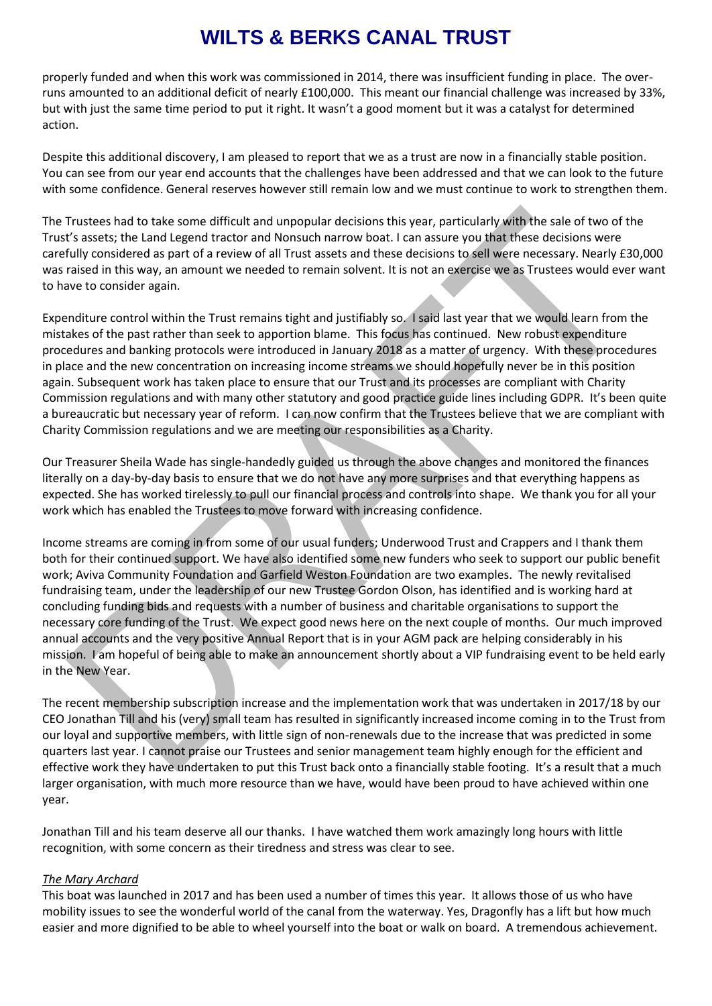properly funded and when this work was commissioned in 2014, there was insufficient funding in place. The overruns amounted to an additional deficit of nearly £100,000. This meant our financial challenge was increased by 33%, but with just the same time period to put it right. It wasn't a good moment but it was a catalyst for determined action.

Despite this additional discovery, I am pleased to report that we as a trust are now in a financially stable position. You can see from our year end accounts that the challenges have been addressed and that we can look to the future with some confidence. General reserves however still remain low and we must continue to work to strengthen them.

The Trustees had to take some difficult and unpopular decisions this year, particularly with the sale of two of the Trust's assets; the Land Legend tractor and Nonsuch narrow boat. I can assure you that these decisions were carefully considered as part of a review of all Trust assets and these decisions to sell were necessary. Nearly £30,000 was raised in this way, an amount we needed to remain solvent. It is not an exercise we as Trustees would ever want to have to consider again.

Expenditure control within the Trust remains tight and justifiably so. I said last year that we would learn from the mistakes of the past rather than seek to apportion blame. This focus has continued. New robust expenditure procedures and banking protocols were introduced in January 2018 as a matter of urgency. With these procedures in place and the new concentration on increasing income streams we should hopefully never be in this position again. Subsequent work has taken place to ensure that our Trust and its processes are compliant with Charity Commission regulations and with many other statutory and good practice guide lines including GDPR. It's been quite a bureaucratic but necessary year of reform. I can now confirm that the Trustees believe that we are compliant with Charity Commission regulations and we are meeting our responsibilities as a Charity.

Our Treasurer Sheila Wade has single-handedly guided us through the above changes and monitored the finances literally on a day-by-day basis to ensure that we do not have any more surprises and that everything happens as expected. She has worked tirelessly to pull our financial process and controls into shape. We thank you for all your work which has enabled the Trustees to move forward with increasing confidence.

Income streams are coming in from some of our usual funders; Underwood Trust and Crappers and I thank them both for their continued support. We have also identified some new funders who seek to support our public benefit work; Aviva Community Foundation and Garfield Weston Foundation are two examples. The newly revitalised fundraising team, under the leadership of our new Trustee Gordon Olson, has identified and is working hard at concluding funding bids and requests with a number of business and charitable organisations to support the necessary core funding of the Trust. We expect good news here on the next couple of months. Our much improved annual accounts and the very positive Annual Report that is in your AGM pack are helping considerably in his mission. I am hopeful of being able to make an announcement shortly about a VIP fundraising event to be held early in the New Year.

The recent membership subscription increase and the implementation work that was undertaken in 2017/18 by our CEO Jonathan Till and his (very) small team has resulted in significantly increased income coming in to the Trust from our loyal and supportive members, with little sign of non-renewals due to the increase that was predicted in some quarters last year. I cannot praise our Trustees and senior management team highly enough for the efficient and effective work they have undertaken to put this Trust back onto a financially stable footing. It's a result that a much larger organisation, with much more resource than we have, would have been proud to have achieved within one year.

Jonathan Till and his team deserve all our thanks. I have watched them work amazingly long hours with little recognition, with some concern as their tiredness and stress was clear to see.

#### *The Mary Archard*

This boat was launched in 2017 and has been used a number of times this year. It allows those of us who have mobility issues to see the wonderful world of the canal from the waterway. Yes, Dragonfly has a lift but how much easier and more dignified to be able to wheel yourself into the boat or walk on board. A tremendous achievement.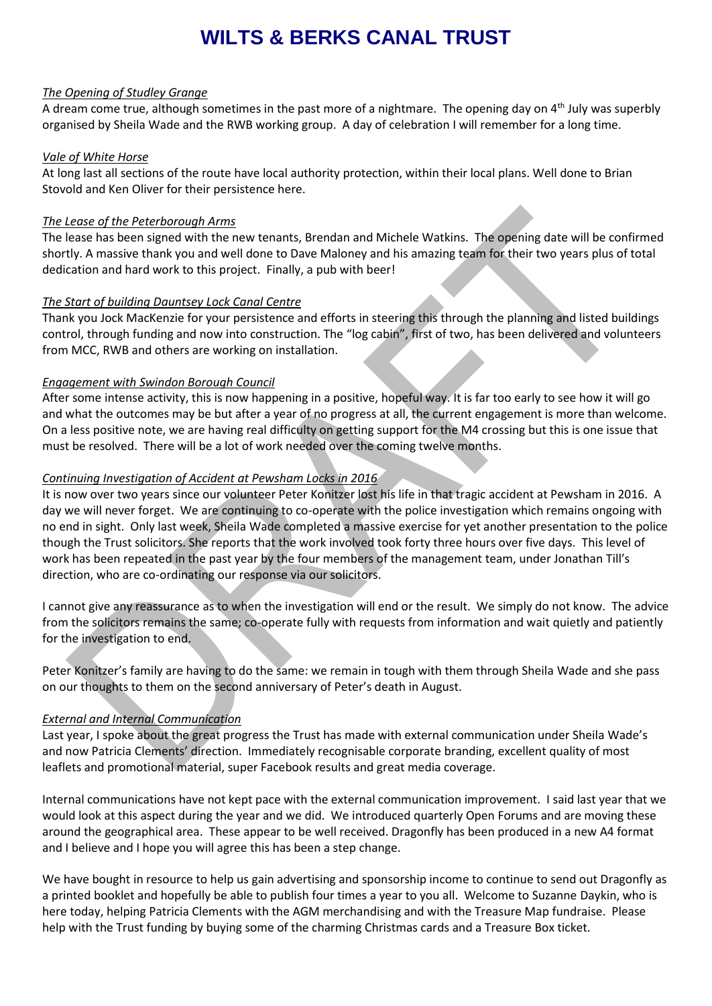#### *The Opening of Studley Grange*

A dream come true, although sometimes in the past more of a nightmare. The opening day on  $4<sup>th</sup>$  July was superbly organised by Sheila Wade and the RWB working group. A day of celebration I will remember for a long time.

#### *Vale of White Horse*

At long last all sections of the route have local authority protection, within their local plans. Well done to Brian Stovold and Ken Oliver for their persistence here.

#### *The Lease of the Peterborough Arms*

The lease has been signed with the new tenants, Brendan and Michele Watkins. The opening date will be confirmed shortly. A massive thank you and well done to Dave Maloney and his amazing team for their two years plus of total dedication and hard work to this project. Finally, a pub with beer!

#### *The Start of building Dauntsey Lock Canal Centre*

Thank you Jock MacKenzie for your persistence and efforts in steering this through the planning and listed buildings control, through funding and now into construction. The "log cabin", first of two, has been delivered and volunteers from MCC, RWB and others are working on installation.

#### *Engagement with Swindon Borough Council*

After some intense activity, this is now happening in a positive, hopeful way. It is far too early to see how it will go and what the outcomes may be but after a year of no progress at all, the current engagement is more than welcome. On a less positive note, we are having real difficulty on getting support for the M4 crossing but this is one issue that must be resolved. There will be a lot of work needed over the coming twelve months.

#### *Continuing Investigation of Accident at Pewsham Locks in 2016*

It is now over two years since our volunteer Peter Konitzer lost his life in that tragic accident at Pewsham in 2016. A day we will never forget. We are continuing to co-operate with the police investigation which remains ongoing with no end in sight. Only last week, Sheila Wade completed a massive exercise for yet another presentation to the police though the Trust solicitors. She reports that the work involved took forty three hours over five days. This level of work has been repeated in the past year by the four members of the management team, under Jonathan Till's direction, who are co-ordinating our response via our solicitors.

I cannot give any reassurance as to when the investigation will end or the result. We simply do not know. The advice from the solicitors remains the same; co-operate fully with requests from information and wait quietly and patiently for the investigation to end.

Peter Konitzer's family are having to do the same: we remain in tough with them through Sheila Wade and she pass on our thoughts to them on the second anniversary of Peter's death in August.

# *External and Internal Communication*

Last year, I spoke about the great progress the Trust has made with external communication under Sheila Wade's and now Patricia Clements' direction. Immediately recognisable corporate branding, excellent quality of most leaflets and promotional material, super Facebook results and great media coverage.

Internal communications have not kept pace with the external communication improvement. I said last year that we would look at this aspect during the year and we did. We introduced quarterly Open Forums and are moving these around the geographical area. These appear to be well received. Dragonfly has been produced in a new A4 format and I believe and I hope you will agree this has been a step change.

We have bought in resource to help us gain advertising and sponsorship income to continue to send out Dragonfly as a printed booklet and hopefully be able to publish four times a year to you all. Welcome to Suzanne Daykin, who is here today, helping Patricia Clements with the AGM merchandising and with the Treasure Map fundraise. Please help with the Trust funding by buying some of the charming Christmas cards and a Treasure Box ticket.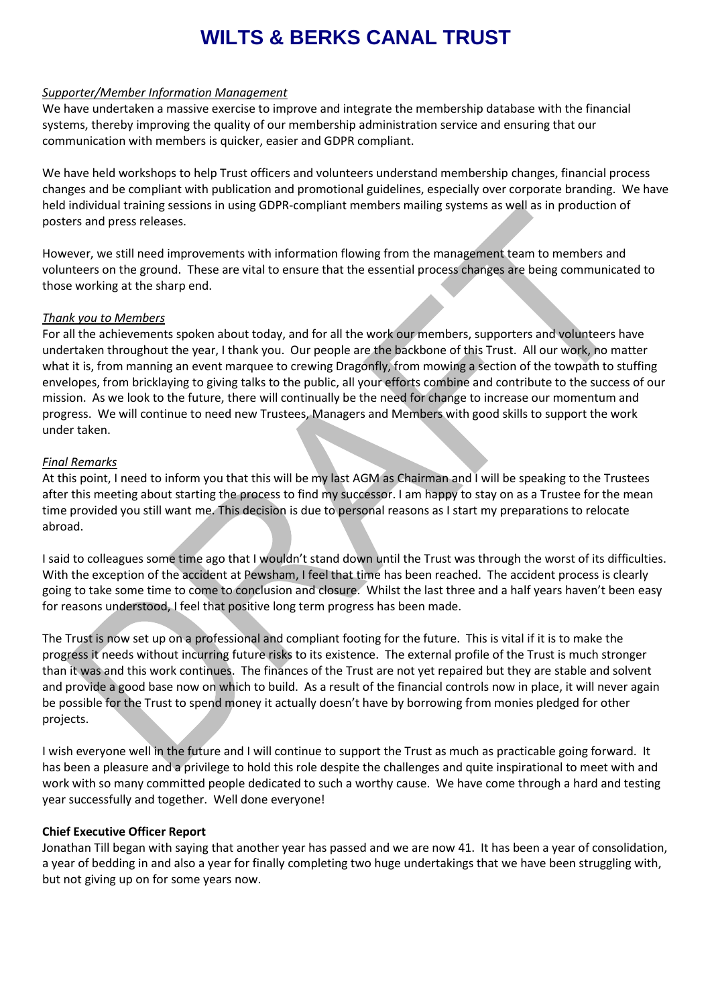#### *Supporter/Member Information Management*

We have undertaken a massive exercise to improve and integrate the membership database with the financial systems, thereby improving the quality of our membership administration service and ensuring that our communication with members is quicker, easier and GDPR compliant.

We have held workshops to help Trust officers and volunteers understand membership changes, financial process changes and be compliant with publication and promotional guidelines, especially over corporate branding. We have held individual training sessions in using GDPR-compliant members mailing systems as well as in production of posters and press releases.

However, we still need improvements with information flowing from the management team to members and volunteers on the ground. These are vital to ensure that the essential process changes are being communicated to those working at the sharp end.

#### *Thank you to Members*

For all the achievements spoken about today, and for all the work our members, supporters and volunteers have undertaken throughout the year, I thank you. Our people are the backbone of this Trust. All our work, no matter what it is, from manning an event marquee to crewing Dragonfly, from mowing a section of the towpath to stuffing envelopes, from bricklaying to giving talks to the public, all your efforts combine and contribute to the success of our mission. As we look to the future, there will continually be the need for change to increase our momentum and progress. We will continue to need new Trustees, Managers and Members with good skills to support the work under taken.

#### *Final Remarks*

At this point, I need to inform you that this will be my last AGM as Chairman and I will be speaking to the Trustees after this meeting about starting the process to find my successor. I am happy to stay on as a Trustee for the mean time provided you still want me. This decision is due to personal reasons as I start my preparations to relocate abroad.

I said to colleagues some time ago that I wouldn't stand down until the Trust was through the worst of its difficulties. With the exception of the accident at Pewsham, I feel that time has been reached. The accident process is clearly going to take some time to come to conclusion and closure. Whilst the last three and a half years haven't been easy for reasons understood, I feel that positive long term progress has been made.

The Trust is now set up on a professional and compliant footing for the future. This is vital if it is to make the progress it needs without incurring future risks to its existence. The external profile of the Trust is much stronger than it was and this work continues. The finances of the Trust are not yet repaired but they are stable and solvent and provide a good base now on which to build. As a result of the financial controls now in place, it will never again be possible for the Trust to spend money it actually doesn't have by borrowing from monies pledged for other projects.

I wish everyone well in the future and I will continue to support the Trust as much as practicable going forward. It has been a pleasure and a privilege to hold this role despite the challenges and quite inspirational to meet with and work with so many committed people dedicated to such a worthy cause. We have come through a hard and testing year successfully and together. Well done everyone!

#### **Chief Executive Officer Report**

Jonathan Till began with saying that another year has passed and we are now 41. It has been a year of consolidation, a year of bedding in and also a year for finally completing two huge undertakings that we have been struggling with, but not giving up on for some years now.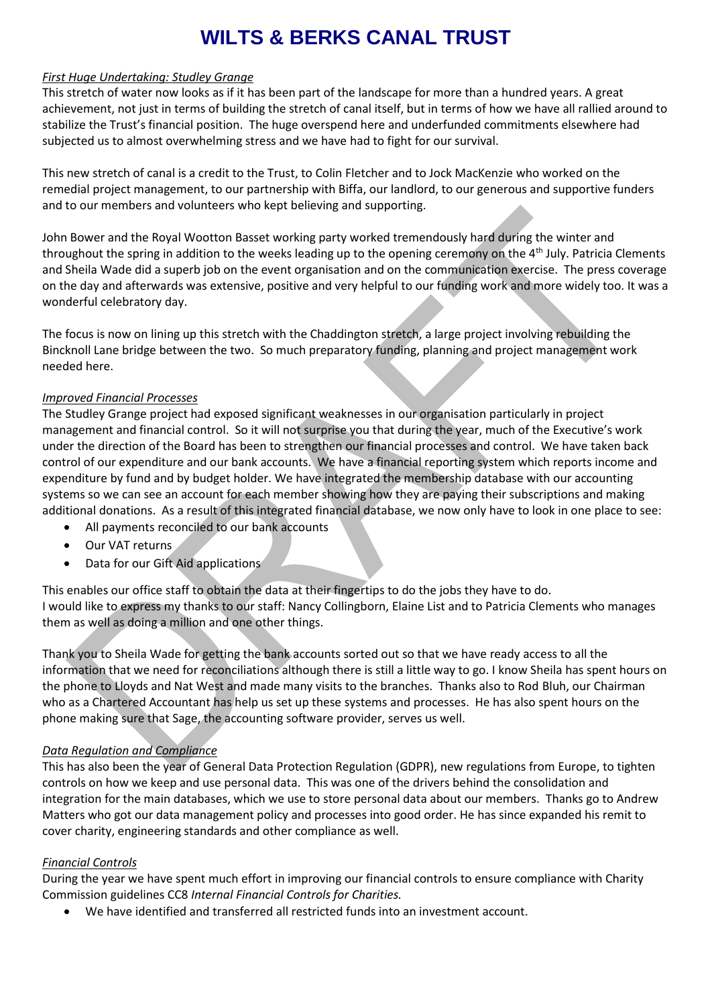#### *First Huge Undertaking: Studley Grange*

This stretch of water now looks as if it has been part of the landscape for more than a hundred years. A great achievement, not just in terms of building the stretch of canal itself, but in terms of how we have all rallied around to stabilize the Trust's financial position. The huge overspend here and underfunded commitments elsewhere had subjected us to almost overwhelming stress and we have had to fight for our survival.

This new stretch of canal is a credit to the Trust, to Colin Fletcher and to Jock MacKenzie who worked on the remedial project management, to our partnership with Biffa, our landlord, to our generous and supportive funders and to our members and volunteers who kept believing and supporting.

John Bower and the Royal Wootton Basset working party worked tremendously hard during the winter and throughout the spring in addition to the weeks leading up to the opening ceremony on the 4<sup>th</sup> July. Patricia Clements and Sheila Wade did a superb job on the event organisation and on the communication exercise. The press coverage on the day and afterwards was extensive, positive and very helpful to our funding work and more widely too. It was a wonderful celebratory day.

The focus is now on lining up this stretch with the Chaddington stretch, a large project involving rebuilding the Bincknoll Lane bridge between the two. So much preparatory funding, planning and project management work needed here.

#### *Improved Financial Processes*

The Studley Grange project had exposed significant weaknesses in our organisation particularly in project management and financial control. So it will not surprise you that during the year, much of the Executive's work under the direction of the Board has been to strengthen our financial processes and control. We have taken back control of our expenditure and our bank accounts. We have a financial reporting system which reports income and expenditure by fund and by budget holder. We have integrated the membership database with our accounting systems so we can see an account for each member showing how they are paying their subscriptions and making additional donations. As a result of this integrated financial database, we now only have to look in one place to see:

- All payments reconciled to our bank accounts
- Our VAT returns
- Data for our Gift Aid applications

This enables our office staff to obtain the data at their fingertips to do the jobs they have to do. I would like to express my thanks to our staff: Nancy Collingborn, Elaine List and to Patricia Clements who manages them as well as doing a million and one other things.

Thank you to Sheila Wade for getting the bank accounts sorted out so that we have ready access to all the information that we need for reconciliations although there is still a little way to go. I know Sheila has spent hours on the phone to Lloyds and Nat West and made many visits to the branches. Thanks also to Rod Bluh, our Chairman who as a Chartered Accountant has help us set up these systems and processes. He has also spent hours on the phone making sure that Sage, the accounting software provider, serves us well.

# *Data Regulation and Compliance*

This has also been the year of General Data Protection Regulation (GDPR), new regulations from Europe, to tighten controls on how we keep and use personal data. This was one of the drivers behind the consolidation and integration for the main databases, which we use to store personal data about our members. Thanks go to Andrew Matters who got our data management policy and processes into good order. He has since expanded his remit to cover charity, engineering standards and other compliance as well.

# *Financial Controls*

During the year we have spent much effort in improving our financial controls to ensure compliance with Charity Commission guidelines CC8 *Internal Financial Controls for Charities.*

• We have identified and transferred all restricted funds into an investment account.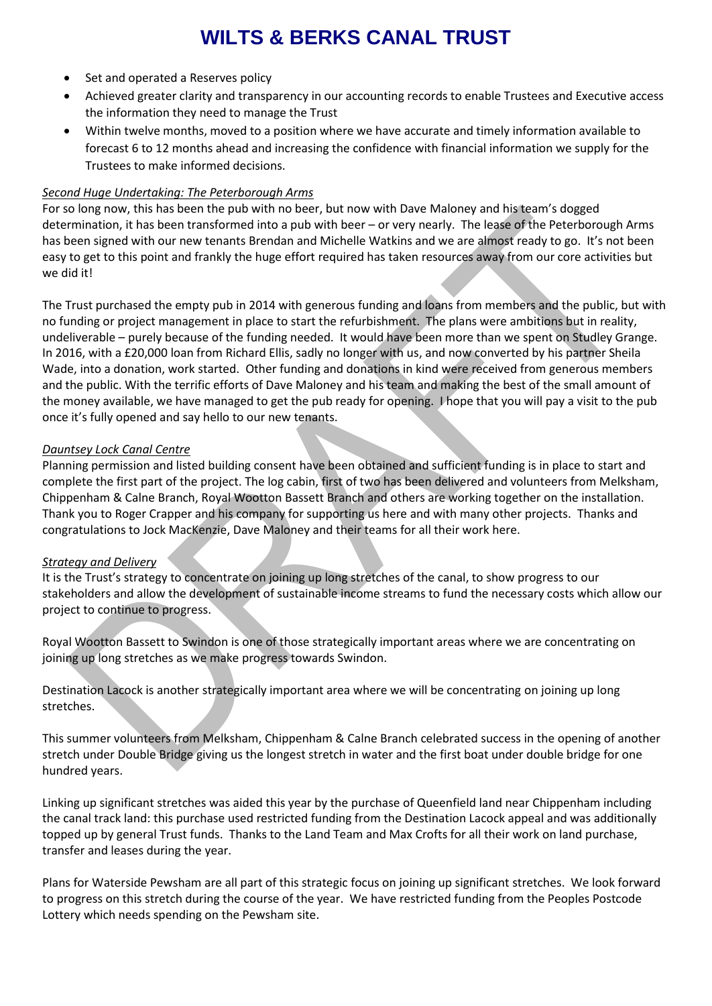- Set and operated a Reserves policy
- Achieved greater clarity and transparency in our accounting records to enable Trustees and Executive access the information they need to manage the Trust
- Within twelve months, moved to a position where we have accurate and timely information available to forecast 6 to 12 months ahead and increasing the confidence with financial information we supply for the Trustees to make informed decisions.

#### *Second Huge Undertaking: The Peterborough Arms*

For so long now, this has been the pub with no beer, but now with Dave Maloney and his team's dogged determination, it has been transformed into a pub with beer – or very nearly. The lease of the Peterborough Arms has been signed with our new tenants Brendan and Michelle Watkins and we are almost ready to go. It's not been easy to get to this point and frankly the huge effort required has taken resources away from our core activities but we did it!

The Trust purchased the empty pub in 2014 with generous funding and loans from members and the public, but with no funding or project management in place to start the refurbishment. The plans were ambitions but in reality, undeliverable – purely because of the funding needed. It would have been more than we spent on Studley Grange. In 2016, with a £20,000 loan from Richard Ellis, sadly no longer with us, and now converted by his partner Sheila Wade, into a donation, work started. Other funding and donations in kind were received from generous members and the public. With the terrific efforts of Dave Maloney and his team and making the best of the small amount of the money available, we have managed to get the pub ready for opening. I hope that you will pay a visit to the pub once it's fully opened and say hello to our new tenants.

#### *Dauntsey Lock Canal Centre*

Planning permission and listed building consent have been obtained and sufficient funding is in place to start and complete the first part of the project. The log cabin, first of two has been delivered and volunteers from Melksham, Chippenham & Calne Branch, Royal Wootton Bassett Branch and others are working together on the installation. Thank you to Roger Crapper and his company for supporting us here and with many other projects. Thanks and congratulations to Jock MacKenzie, Dave Maloney and their teams for all their work here.

# *Strategy and Delivery*

It is the Trust's strategy to concentrate on joining up long stretches of the canal, to show progress to our stakeholders and allow the development of sustainable income streams to fund the necessary costs which allow our project to continue to progress.

Royal Wootton Bassett to Swindon is one of those strategically important areas where we are concentrating on joining up long stretches as we make progress towards Swindon.

Destination Lacock is another strategically important area where we will be concentrating on joining up long stretches.

This summer volunteers from Melksham, Chippenham & Calne Branch celebrated success in the opening of another stretch under Double Bridge giving us the longest stretch in water and the first boat under double bridge for one hundred years.

Linking up significant stretches was aided this year by the purchase of Queenfield land near Chippenham including the canal track land: this purchase used restricted funding from the Destination Lacock appeal and was additionally topped up by general Trust funds. Thanks to the Land Team and Max Crofts for all their work on land purchase, transfer and leases during the year.

Plans for Waterside Pewsham are all part of this strategic focus on joining up significant stretches. We look forward to progress on this stretch during the course of the year. We have restricted funding from the Peoples Postcode Lottery which needs spending on the Pewsham site.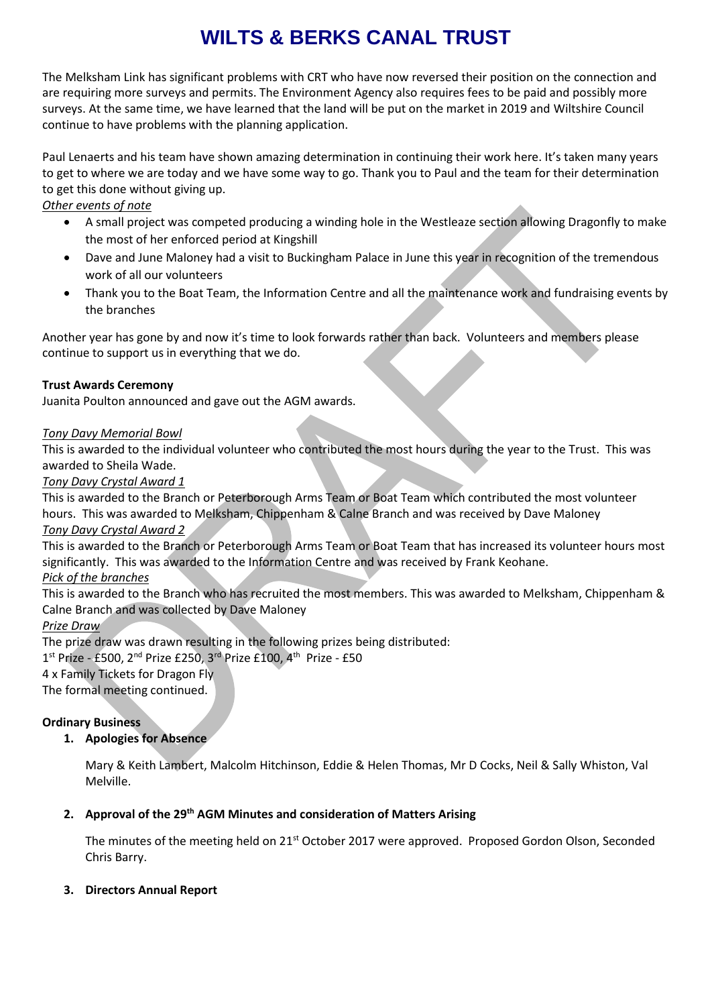The Melksham Link has significant problems with CRT who have now reversed their position on the connection and are requiring more surveys and permits. The Environment Agency also requires fees to be paid and possibly more surveys. At the same time, we have learned that the land will be put on the market in 2019 and Wiltshire Council continue to have problems with the planning application.

Paul Lenaerts and his team have shown amazing determination in continuing their work here. It's taken many years to get to where we are today and we have some way to go. Thank you to Paul and the team for their determination to get this done without giving up.

# *Other events of note*

- A small project was competed producing a winding hole in the Westleaze section allowing Dragonfly to make the most of her enforced period at Kingshill
- Dave and June Maloney had a visit to Buckingham Palace in June this year in recognition of the tremendous work of all our volunteers
- Thank you to the Boat Team, the Information Centre and all the maintenance work and fundraising events by the branches

Another year has gone by and now it's time to look forwards rather than back. Volunteers and members please continue to support us in everything that we do.

# **Trust Awards Ceremony**

Juanita Poulton announced and gave out the AGM awards.

# *Tony Davy Memorial Bowl*

This is awarded to the individual volunteer who contributed the most hours during the year to the Trust. This was awarded to Sheila Wade.

#### *Tony Davy Crystal Award 1*

This is awarded to the Branch or Peterborough Arms Team or Boat Team which contributed the most volunteer hours. This was awarded to Melksham, Chippenham & Calne Branch and was received by Dave Maloney

*Tony Davy Crystal Award 2*

This is awarded to the Branch or Peterborough Arms Team or Boat Team that has increased its volunteer hours most significantly. This was awarded to the Information Centre and was received by Frank Keohane.

#### *Pick of the branches*

This is awarded to the Branch who has recruited the most members. This was awarded to Melksham, Chippenham & Calne Branch and was collected by Dave Maloney

#### *Prize Draw*

The prize draw was drawn resulting in the following prizes being distributed:

 $1^{\text{st}}$  Prize - £500, 2<sup>nd</sup> Prize £250, 3<sup>rd</sup> Prize £100, 4<sup>th</sup> Prize - £50

4 x Family Tickets for Dragon Fly

The formal meeting continued.

# **Ordinary Business**

# **1. Apologies for Absence**

Mary & Keith Lambert, Malcolm Hitchinson, Eddie & Helen Thomas, Mr D Cocks, Neil & Sally Whiston, Val Melville.

# **2. Approval of the 29th AGM Minutes and consideration of Matters Arising**

The minutes of the meeting held on 21<sup>st</sup> October 2017 were approved. Proposed Gordon Olson, Seconded Chris Barry.

# **3. Directors Annual Report**